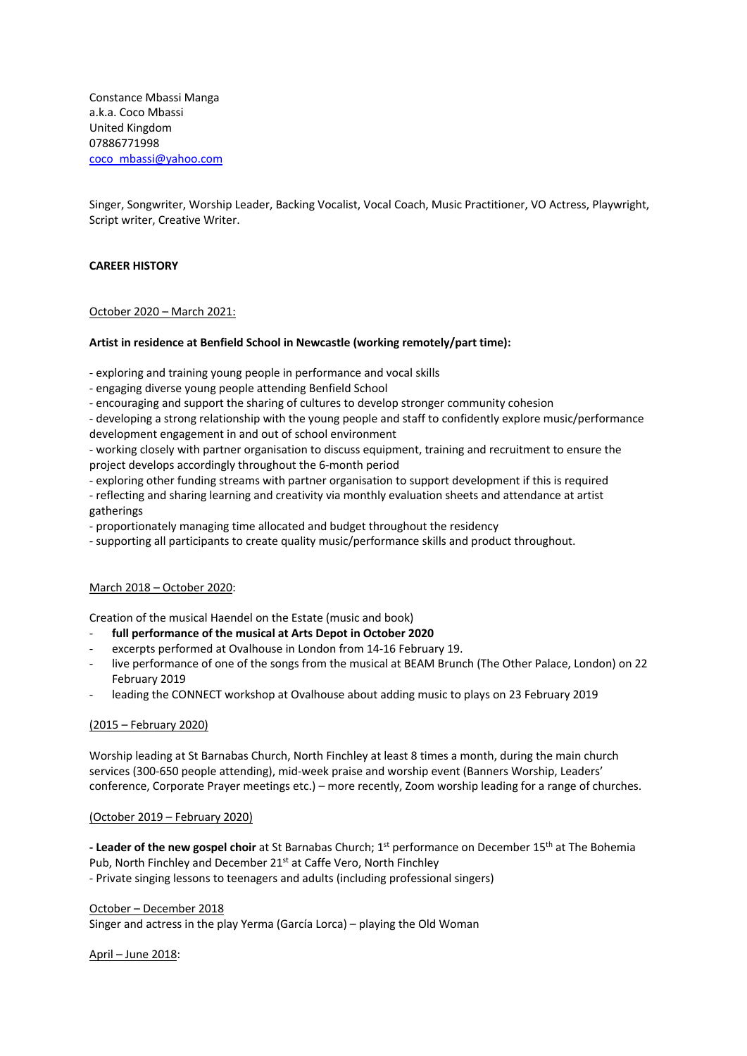Constance Mbassi Manga a.k.a. Coco Mbassi United Kingdom 07886771998 coco\_mbassi@yahoo.com

Singer, Songwriter, Worship Leader, Backing Vocalist, Vocal Coach, Music Practitioner, VO Actress, Playwright, Script writer, Creative Writer.

### **CAREER HISTORY**

#### October 2020 – March 2021:

#### **Artist in residence at Benfield School in Newcastle (working remotely/part time):**

- exploring and training young people in performance and vocal skills

- engaging diverse young people attending Benfield School
- encouraging and support the sharing of cultures to develop stronger community cohesion

- developing a strong relationship with the young people and staff to confidently explore music/performance development engagement in and out of school environment

- working closely with partner organisation to discuss equipment, training and recruitment to ensure the project develops accordingly throughout the 6-month period

- exploring other funding streams with partner organisation to support development if this is required
- reflecting and sharing learning and creativity via monthly evaluation sheets and attendance at artist gatherings
- proportionately managing time allocated and budget throughout the residency
- supporting all participants to create quality music/performance skills and product throughout.

#### March 2018 – October 2020:

Creation of the musical Haendel on the Estate (music and book)

- full performance of the musical at Arts Depot in October 2020
- excerpts performed at Ovalhouse in London from 14-16 February 19.
- live performance of one of the songs from the musical at BEAM Brunch (The Other Palace, London) on 22 February 2019
- leading the CONNECT workshop at Ovalhouse about adding music to plays on 23 February 2019

#### (2015 – February 2020)

Worship leading at St Barnabas Church, North Finchley at least 8 times a month, during the main church services (300-650 people attending), mid-week praise and worship event (Banners Worship, Leaders' conference, Corporate Prayer meetings etc.) – more recently, Zoom worship leading for a range of churches.

#### (October 2019 – February 2020)

- Leader of the new gospel choir at St Barnabas Church; 1<sup>st</sup> performance on December 15<sup>th</sup> at The Bohemia Pub, North Finchley and December 21<sup>st</sup> at Caffe Vero, North Finchley - Private singing lessons to teenagers and adults (including professional singers)

### October – December 2018

Singer and actress in the play Yerma (García Lorca) – playing the Old Woman

### April – June 2018: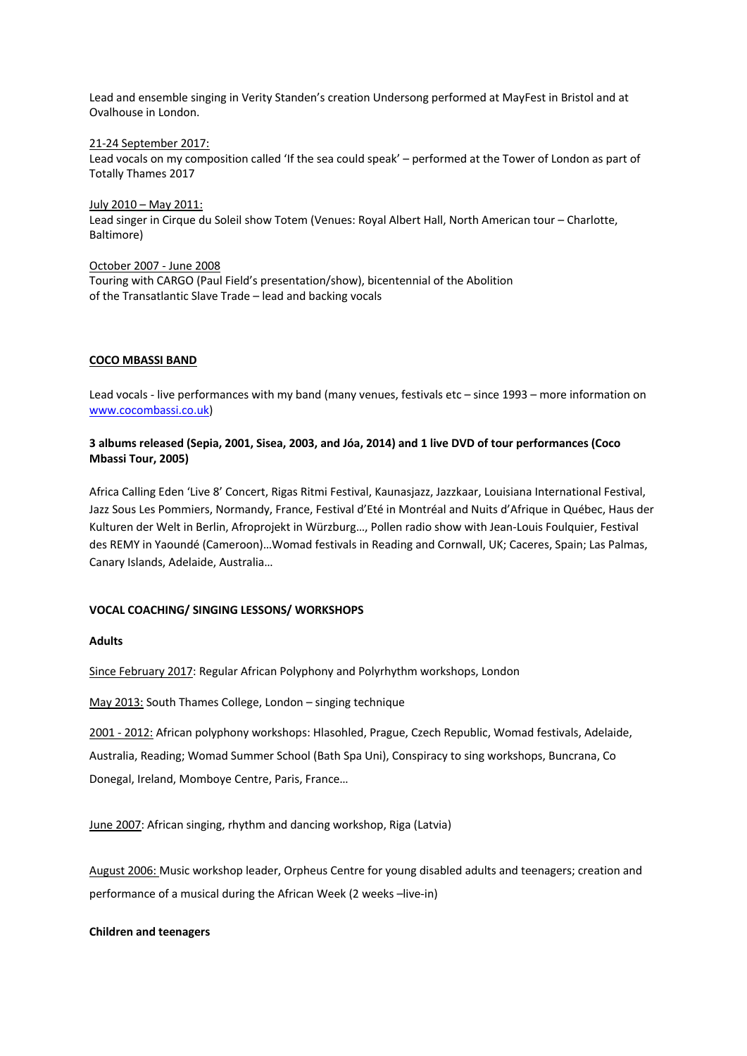Lead and ensemble singing in Verity Standen's creation Undersong performed at MayFest in Bristol and at Ovalhouse in London.

21-24 September 2017: Lead vocals on my composition called 'If the sea could speak' – performed at the Tower of London as part of Totally Thames 2017

July 2010 – May 2011: Lead singer in Cirque du Soleil show Totem (Venues: Royal Albert Hall, North American tour – Charlotte, Baltimore)

October 2007 - June 2008 Touring with CARGO (Paul Field's presentation/show), bicentennial of the Abolition of the Transatlantic Slave Trade – lead and backing vocals

### **COCO MBASSI BAND**

Lead vocals - live performances with my band (many venues, festivals etc – since 1993 – more information on www.cocombassi.co.uk)

### **3 albums released (Sepia, 2001, Sisea, 2003, and Jóa, 2014) and 1 live DVD of tour performances (Coco Mbassi Tour, 2005)**

Africa Calling Eden 'Live 8' Concert, Rigas Ritmi Festival, Kaunasjazz, Jazzkaar, Louisiana International Festival, Jazz Sous Les Pommiers, Normandy, France, Festival d'Eté in Montréal and Nuits d'Afrique in Québec, Haus der Kulturen der Welt in Berlin, Afroprojekt in Würzburg…, Pollen radio show with Jean-Louis Foulquier, Festival des REMY in Yaoundé (Cameroon)…Womad festivals in Reading and Cornwall, UK; Caceres, Spain; Las Palmas, Canary Islands, Adelaide, Australia…

### **VOCAL COACHING/ SINGING LESSONS/ WORKSHOPS**

### **Adults**

Since February 2017: Regular African Polyphony and Polyrhythm workshops, London

May 2013: South Thames College, London – singing technique

2001 - 2012: African polyphony workshops: Hlasohled, Prague, Czech Republic, Womad festivals, Adelaide, Australia, Reading; Womad Summer School (Bath Spa Uni), Conspiracy to sing workshops, Buncrana, Co Donegal, Ireland, Momboye Centre, Paris, France…

June 2007: African singing, rhythm and dancing workshop, Riga (Latvia)

August 2006: Music workshop leader, Orpheus Centre for young disabled adults and teenagers; creation and performance of a musical during the African Week (2 weeks –live-in)

**Children and teenagers**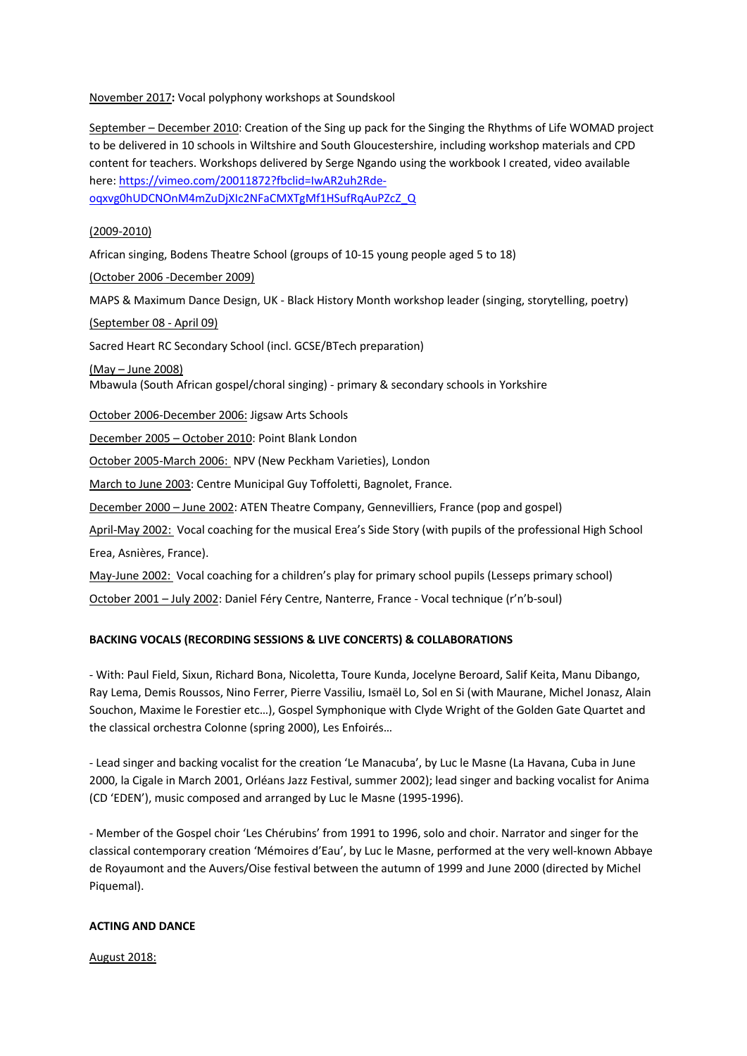November 2017**:** Vocal polyphony workshops at Soundskool

September – December 2010: Creation of the Sing up pack for the Singing the Rhythms of Life WOMAD project to be delivered in 10 schools in Wiltshire and South Gloucestershire, including workshop materials and CPD content for teachers. Workshops delivered by Serge Ngando using the workbook I created, video available here: https://vimeo.com/20011872?fbclid=IwAR2uh2Rde-

oqxvg0hUDCNOnM4mZuDjXIc2NFaCMXTgMf1HSufRqAuPZcZ\_Q

#### (2009-2010)

African singing, Bodens Theatre School (groups of 10-15 young people aged 5 to 18)

(October 2006 -December 2009)

MAPS & Maximum Dance Design, UK - Black History Month workshop leader (singing, storytelling, poetry)

(September 08 - April 09)

Sacred Heart RC Secondary School (incl. GCSE/BTech preparation)

(May – June 2008) Mbawula (South African gospel/choral singing) - primary & secondary schools in Yorkshire

October 2006-December 2006: Jigsaw Arts Schools

December 2005 – October 2010: Point Blank London

October 2005-March 2006: NPV (New Peckham Varieties), London

March to June 2003: Centre Municipal Guy Toffoletti, Bagnolet, France.

December 2000 – June 2002: ATEN Theatre Company, Gennevilliers, France (pop and gospel)

April-May 2002: Vocal coaching for the musical Erea's Side Story (with pupils of the professional High School Erea, Asnières, France).

May-June 2002: Vocal coaching for a children's play for primary school pupils (Lesseps primary school)

October 2001 – July 2002: Daniel Féry Centre, Nanterre, France - Vocal technique (r'n'b-soul)

### **BACKING VOCALS (RECORDING SESSIONS & LIVE CONCERTS) & COLLABORATIONS**

- With: Paul Field, Sixun, Richard Bona, Nicoletta, Toure Kunda, Jocelyne Beroard, Salif Keita, Manu Dibango, Ray Lema, Demis Roussos, Nino Ferrer, Pierre Vassiliu, Ismaël Lo, Sol en Si (with Maurane, Michel Jonasz, Alain Souchon, Maxime le Forestier etc…), Gospel Symphonique with Clyde Wright of the Golden Gate Quartet and the classical orchestra Colonne (spring 2000), Les Enfoirés…

- Lead singer and backing vocalist for the creation 'Le Manacuba', by Luc le Masne (La Havana, Cuba in June 2000, la Cigale in March 2001, Orléans Jazz Festival, summer 2002); lead singer and backing vocalist for Anima (CD 'EDEN'), music composed and arranged by Luc le Masne (1995-1996).

- Member of the Gospel choir 'Les Chérubins' from 1991 to 1996, solo and choir. Narrator and singer for the classical contemporary creation 'Mémoires d'Eau', by Luc le Masne, performed at the very well-known Abbaye de Royaumont and the Auvers/Oise festival between the autumn of 1999 and June 2000 (directed by Michel Piquemal).

#### **ACTING AND DANCE**

August 2018: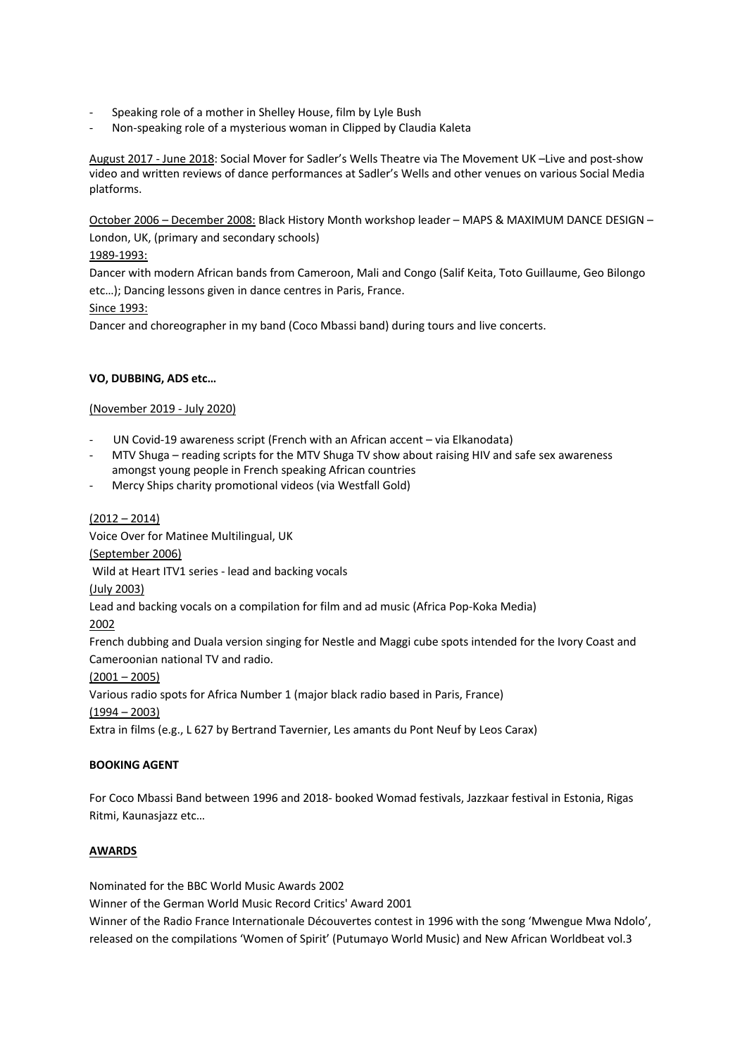- Speaking role of a mother in Shelley House, film by Lyle Bush
- Non-speaking role of a mysterious woman in Clipped by Claudia Kaleta

August 2017 - June 2018: Social Mover for Sadler's Wells Theatre via The Movement UK –Live and post-show video and written reviews of dance performances at Sadler's Wells and other venues on various Social Media platforms.

October 2006 – December 2008: Black History Month workshop leader – MAPS & MAXIMUM DANCE DESIGN – London, UK, (primary and secondary schools)

# 1989-1993:

Dancer with modern African bands from Cameroon, Mali and Congo (Salif Keita, Toto Guillaume, Geo Bilongo etc…); Dancing lessons given in dance centres in Paris, France.

## Since 1993:

Dancer and choreographer in my band (Coco Mbassi band) during tours and live concerts.

## **VO, DUBBING, ADS etc…**

### (November 2019 - July 2020)

- UN Covid-19 awareness script (French with an African accent via Elkanodata)
- MTV Shuga reading scripts for the MTV Shuga TV show about raising HIV and safe sex awareness amongst young people in French speaking African countries
- Mercy Ships charity promotional videos (via Westfall Gold)

## $(2012 - 2014)$

Voice Over for Matinee Multilingual, UK (September 2006) Wild at Heart ITV1 series - lead and backing vocals (July 2003) Lead and backing vocals on a compilation for film and ad music (Africa Pop-Koka Media) 2002 French dubbing and Duala version singing for Nestle and Maggi cube spots intended for the Ivory Coast and Cameroonian national TV and radio.  $(2001 - 2005)$ Various radio spots for Africa Number 1 (major black radio based in Paris, France) (1994 – 2003)

Extra in films (e.g., L 627 by Bertrand Tavernier, Les amants du Pont Neuf by Leos Carax)

## **BOOKING AGENT**

For Coco Mbassi Band between 1996 and 2018- booked Womad festivals, Jazzkaar festival in Estonia, Rigas Ritmi, Kaunasjazz etc…

## **AWARDS**

Nominated for the BBC World Music Awards 2002

Winner of the German World Music Record Critics' Award 2001

Winner of the Radio France Internationale Découvertes contest in 1996 with the song 'Mwengue Mwa Ndolo', released on the compilations 'Women of Spirit' (Putumayo World Music) and New African Worldbeat vol.3